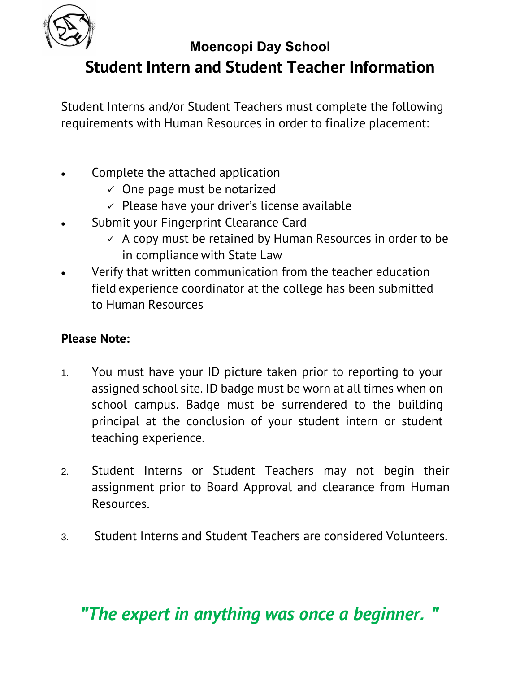

## **Moencopi Day School Student Intern and Student Teacher Information**

Student Interns and/or Student Teachers must complete the following requirements with Human Resources in order to finalize placement:

- Complete the attached application
	- $\checkmark$  One page must be notarized
	- $\checkmark$  Please have your driver's license available
- Submit your Fingerprint Clearance Card
	- $\checkmark$  A copy must be retained by Human Resources in order to be in compliance with State Law
- Verify that written communication from the teacher education field experience coordinator at the college has been submitted to Human Resources

### **Please Note:**

- 1. You must have your ID picture taken prior to reporting to your assigned school site. ID badge must be worn at all times when on school campus. Badge must be surrendered to the building principal at the conclusion of your student intern or student teaching experience.
- 2. Student Interns or Student Teachers may not begin their assignment prior to Board Approval and clearance from Human Resources.
- 3. Student Interns and Student Teachers are considered Volunteers.

# *"The expert in anything was once a beginner. "*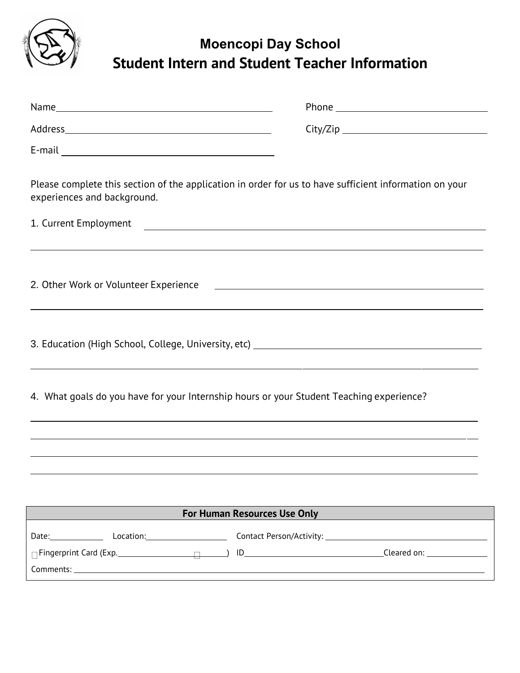

### **Moencopi Day School Student Intern and Student Teacher Information**

| Please complete this section of the application in order for us to have sufficient information on your<br>experiences and background. |                                                                                                                      |  |  |  |
|---------------------------------------------------------------------------------------------------------------------------------------|----------------------------------------------------------------------------------------------------------------------|--|--|--|
| 1. Current Employment                                                                                                                 |                                                                                                                      |  |  |  |
|                                                                                                                                       |                                                                                                                      |  |  |  |
| 2. Other Work or Volunteer Experience                                                                                                 | <u> 1989 - Johann Barbara, martin amerikan basal dan berasal dan berasal dalam basal dan berasal dan berasal dan</u> |  |  |  |
| ,我们也不会不会不会不会不会不会不会不会不会不会不会不会不会不会。""我们的是我们的,我们也不会不会不会不会不会不会不会不会。""我们的是我们的,我们也不会不会                                                      |                                                                                                                      |  |  |  |
| 4. What goals do you have for your Internship hours or your Student Teaching experience?                                              |                                                                                                                      |  |  |  |
|                                                                                                                                       |                                                                                                                      |  |  |  |
|                                                                                                                                       |                                                                                                                      |  |  |  |
|                                                                                                                                       |                                                                                                                      |  |  |  |
| <b>For Human Resources Use Only</b>                                                                                                   |                                                                                                                      |  |  |  |
| Date: Location: Date:                                                                                                                 |                                                                                                                      |  |  |  |
|                                                                                                                                       |                                                                                                                      |  |  |  |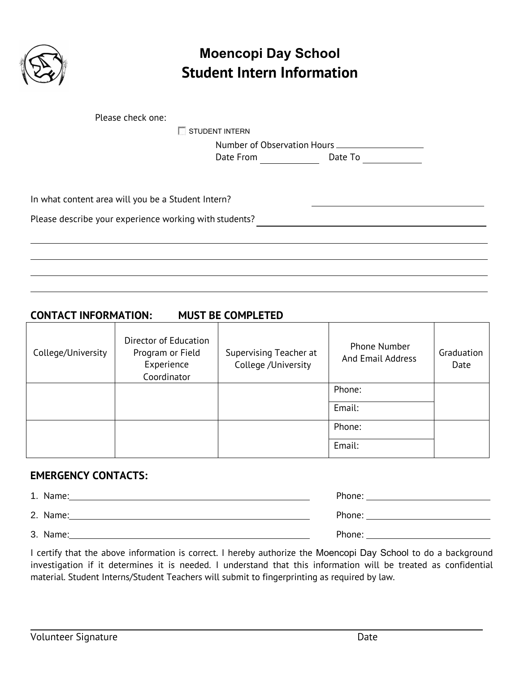

### **Moencopi Day School Student Intern Information**

STUDENT INTERN

Number of Observation Hours Date From Date To

In what content area will you be a Student Intern?

Please describe your experience working with students?

#### **CONTACT INFORMATION: MUST BE COMPLETED**

| College/University | Director of Education<br>Program or Field<br>Experience<br>Coordinator | Supervising Teacher at<br>College /University | <b>Phone Number</b><br>And Email Address | Graduation<br>Date |
|--------------------|------------------------------------------------------------------------|-----------------------------------------------|------------------------------------------|--------------------|
|                    |                                                                        |                                               | Phone:                                   |                    |
|                    |                                                                        |                                               | Email:                                   |                    |
|                    |                                                                        |                                               | Phone:                                   |                    |
|                    |                                                                        |                                               | Email:                                   |                    |

#### **EMERGENCY CONTACTS:**

| 1. Name: | Phone:                                     |
|----------|--------------------------------------------|
| 2. Name: | Phone: ___________________________________ |
| 3. Name: | Phone:                                     |

I certify that the above information is correct. I hereby authorize the Moencopi Day School to do a background investigation if it determines it is needed. I understand that this information will be treated as confidential material. Student Interns/Student Teachers will submit to fingerprinting as required by law.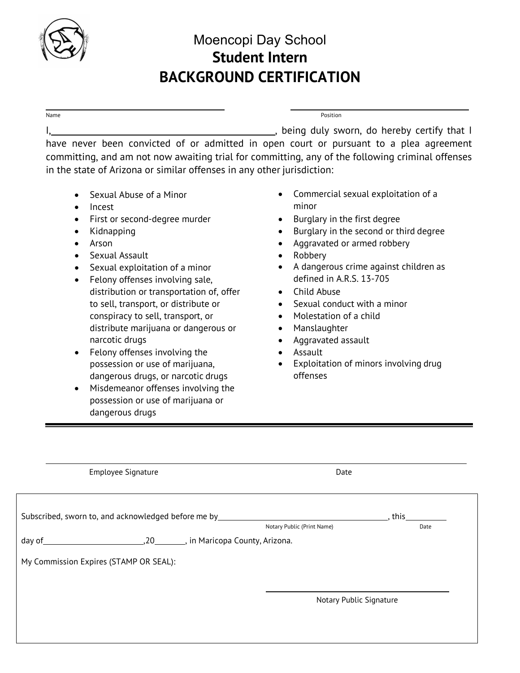

### Moencopi Day School **Student Intern BACKGROUND CERTIFICATION**

#### I, , being duly sworn, do hereby certify that I have never been convicted of or admitted in open court or pursuant to a plea agreement committing, and am not now awaiting trial for committing, any of the following criminal offenses in the state of Arizona or similar offenses in any other jurisdiction:

Name **Position** 

- Sexual Abuse of a Minor
- Incest
- First or second-degree murder
- Kidnapping
- Arson
- Sexual Assault
- Sexual exploitation of a minor
- Felony offenses involving sale, distribution or transportation of, offer to sell, transport, or distribute or conspiracy to sell, transport, or distribute marijuana or dangerous or narcotic drugs
- Felony offenses involving the possession or use of marijuana, dangerous drugs, or narcotic drugs
- Misdemeanor offenses involving the possession or use of marijuana or dangerous drugs
- Commercial sexual exploitation of a minor
- Burglary in the first degree
- Burglary in the second or third degree
- Aggravated or armed robbery
- Robbery
- A dangerous crime against children as defined in A.R.S. 13-705
- Child Abuse
- Sexual conduct with a minor
- Molestation of a child
- Manslaughter
- Aggravated assault
- Assault
- Exploitation of minors involving drug offenses

| <b>Employee Signature</b>                                      | Date                       |        |
|----------------------------------------------------------------|----------------------------|--------|
|                                                                |                            |        |
| Subscribed, sworn to, and acknowledged before me by___________ |                            | , this |
|                                                                | Notary Public (Print Name) | Date   |
|                                                                |                            |        |
| My Commission Expires (STAMP OR SEAL):                         |                            |        |
|                                                                |                            |        |
|                                                                | Notary Public Signature    |        |
|                                                                |                            |        |
|                                                                |                            |        |
|                                                                |                            |        |